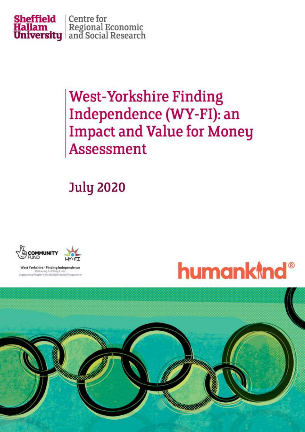

# **West-Yorkshire Finding** Independence (WY-FI): an **Impact and Value for Money Assessment**

# **July 2020**



West Yorkshire - Finding Independence Deltrening Fuffilling Lives:<br>Iting People with Multiple Needs Proc



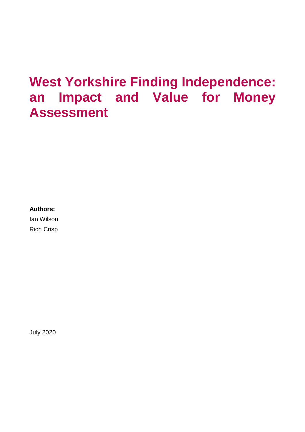## **West Yorkshire Finding Independence: an Impact and Value for Money Assessment**

## **Authors:**

Ian Wilson Rich Crisp

July 2020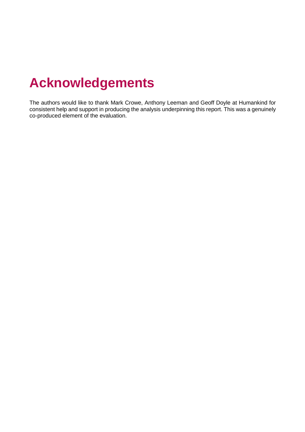# **Acknowledgements**

The authors would like to thank Mark Crowe, Anthony Leeman and Geoff Doyle at Humankind for consistent help and support in producing the analysis underpinning this report. This was a genuinely co-produced element of the evaluation.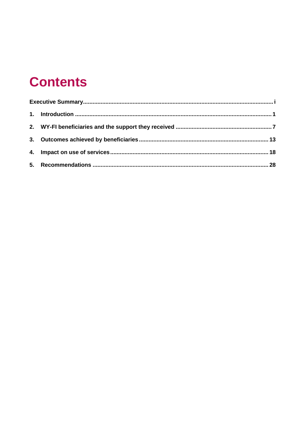# **Contents**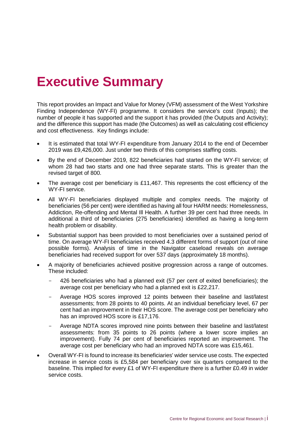# <span id="page-4-0"></span>**Executive Summary**

This report provides an Impact and Value for Money (VFM) assessment of the West Yorkshire Finding Independence (WY-FI) programme. It considers the service's cost (Inputs); the number of people it has supported and the support it has provided (the Outputs and Activity); and the difference this support has made (the Outcomes) as well as calculating cost efficiency and cost effectiveness. Key findings include:

- It is estimated that total WY-FI expenditure from January 2014 to the end of December 2019 was £9,426,000. Just under two thirds of this comprises staffing costs.
- By the end of December 2019, 822 beneficiaries had started on the WY-FI service; of whom 28 had two starts and one had three separate starts. This is greater than the revised target of 800.
- The average cost per beneficiary is £11,467. This represents the cost efficiency of the WY-FI service.
- All WY-FI beneficiaries displayed multiple and complex needs. The majority of beneficiaries (56 per cent) were identified as having all four HARM needs: Homelessness, Addiction, Re-offending and Mental Ill Health. A further 39 per cent had three needs. In additional a third of beneficiaries (275 beneficiaries) identified as having a long-term health problem or disability.
- Substantial support has been provided to most beneficiaries over a sustained period of time. On average WY-FI beneficiaries received 4.3 different forms of support (out of nine possible forms). Analysis of time in the Navigator caseload reveals on average beneficiaries had received support for over 537 days (approximately 18 months).
- A majority of beneficiaries achieved positive progression across a range of outcomes. These included:
	- 426 beneficiaries who had a planned exit (57 per cent of exited beneficiaries); the average cost per beneficiary who had a planned exit is £22,217.
	- Average HOS scores improved 12 points between their baseline and last/latest assessments; from 28 points to 40 points. At an individual beneficiary level, 67 per cent had an improvement in their HOS score. The average cost per beneficiary who has an improved HOS score is £17,176.
	- Average NDTA scores improved nine points between their baseline and last/latest assessments: from 35 points to 26 points (where a lower score implies an improvement). Fully 74 per cent of beneficiaries reported an improvement. The average cost per beneficiary who had an improved NDTA score was £15,461.
- Overall WY-FI is found to increase its beneficiaries' wider service use costs. The expected increase in service costs is £5,584 per beneficiary over six quarters compared to the baseline. This implied for every £1 of WY-FI expenditure there is a further £0.49 in wider service costs.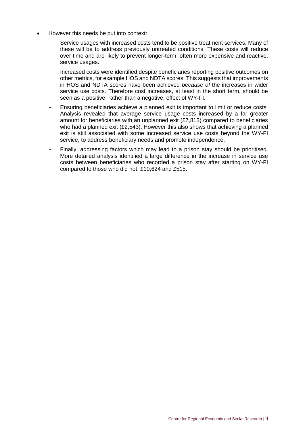- However this needs be put into context:
	- Service usages with increased costs tend to be positive treatment services. Many of these will be to address previously untreated conditions. These costs will reduce over time and are likely to prevent longer-term, often more expensive and reactive, service usages.
	- Increased costs were identified despite beneficiaries reporting positive outcomes on other metrics, for example HOS and NDTA scores. This suggests that improvements in HOS and NDTA scores have been achieved *because of* the increases in wider service use costs. Therefore cost increases, at least in the short term, should be seen as a positive, rather than a negative, effect of WY-FI.
	- Ensuring beneficiaries achieve a planned exit is important to limit or reduce costs. Analysis revealed that average service usage costs increased by a far greater amount for beneficiaries with an unplanned exit (£7,813) compared to beneficiaries who had a planned exit (£2,543). However this also shows that achieving a planned exit is still associated with some increased service use costs beyond the WY-FI service, to address beneficiary needs and promote independence.
	- Finally, addressing factors which may lead to a prison stay should be prioritised. More detailed analysis identified a large difference in the increase in service use costs between beneficiaries who recorded a prison stay after starting on WY-FI compared to those who did not: £10,624 and £515.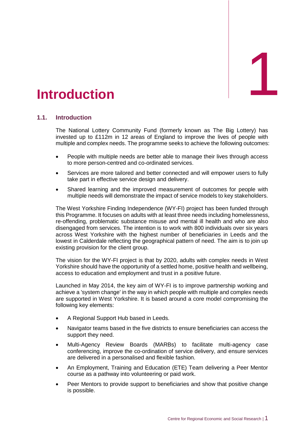<span id="page-6-0"></span>

## **1.1. Introduction**

The National Lottery Community Fund (formerly known as The Big Lottery) has invested up to £112m in 12 areas of England to improve the lives of people with multiple and complex needs. The programme seeks to achieve the following outcomes:

- People with multiple needs are better able to manage their lives through access to more person-centred and co-ordinated services.
- Services are more tailored and better connected and will empower users to fully take part in effective service design and delivery.
- Shared learning and the improved measurement of outcomes for people with multiple needs will demonstrate the impact of service models to key stakeholders.

The West Yorkshire Finding Independence (WY-FI) project has been funded through this Programme. It focuses on adults with at least three needs including homelessness, re-offending, problematic substance misuse and mental ill health and who are also disengaged from services. The intention is to work with 800 individuals over six years across West Yorkshire with the highest number of beneficiaries in Leeds and the lowest in Calderdale reflecting the geographical pattern of need. The aim is to join up existing provision for the client group.

The vision for the WY-FI project is that by 2020, adults with complex needs in West Yorkshire should have the opportunity of a settled home, positive health and wellbeing, access to education and employment and trust in a positive future.

Launched in May 2014, the key aim of WY-FI is to improve partnership working and achieve a 'system change' in the way in which people with multiple and complex needs are supported in West Yorkshire. It is based around a core model compromising the following key elements:

- A Regional Support Hub based in Leeds.
- Navigator teams based in the five districts to ensure beneficiaries can access the support they need.
- Multi-Agency Review Boards (MARBs) to facilitate multi-agency case conferencing, improve the co-ordination of service delivery, and ensure services are delivered in a personalised and flexible fashion.
- An Employment, Training and Education (ETE) Team delivering a Peer Mentor course as a pathway into volunteering or paid work.
- Peer Mentors to provide support to beneficiaries and show that positive change is possible.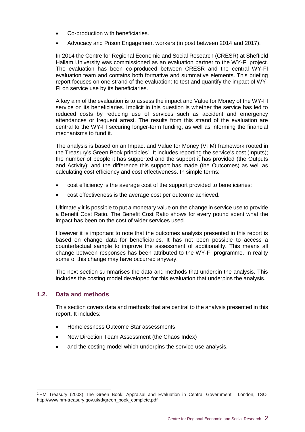- Co-production with beneficiaries.
- Advocacy and Prison Engagement workers (in post between 2014 and 2017).

In 2014 the Centre for Regional Economic and Social Research (CRESR) at Sheffield Hallam University was commissioned as an evaluation partner to the WY-FI project. The evaluation has been co-produced between CRESR and the central WY-FI evaluation team and contains both formative and summative elements. This briefing report focuses on one strand of the evaluation: to test and quantify the impact of WY-FI on service use by its beneficiaries.

A key aim of the evaluation is to assess the impact and Value for Money of the WY-FI service on its beneficiaries. Implicit in this question is whether the service has led to reduced costs by reducing use of services such as accident and emergency attendances or frequent arrest. The results from this strand of the evaluation are central to the WY-FI securing longer-term funding, as well as informing the financial mechanisms to fund it.

The analysis is based on an Impact and Value for Money (VFM) framework rooted in the Treasury's Green Book principles<sup>1</sup>. It includes reporting the service's cost (Inputs); the number of people it has supported and the support it has provided (the Outputs and Activity); and the difference this support has made (the Outcomes) as well as calculating cost efficiency and cost effectiveness. In simple terms:

- cost efficiency is the average cost of the support provided to beneficiaries;
- cost effectiveness is the average cost per outcome achieved.

Ultimately it is possible to put a monetary value on the change in service use to provide a Benefit Cost Ratio. The Benefit Cost Ratio shows for every pound spent what the impact has been on the cost of wider services used.

However it is important to note that the outcomes analysis presented in this report is based on change data for beneficiaries. It has not been possible to access a counterfactual sample to improve the assessment of additionality. This means all change between responses has been attributed to the WY-FI programme. In reality some of this change may have occurred anyway.

The next section summarises the data and methods that underpin the analysis. This includes the costing model developed for this evaluation that underpins the analysis.

## **1.2. Data and methods**

This section covers data and methods that are central to the analysis presented in this report. It includes:

- Homelessness Outcome Star assessments
- New Direction Team Assessment (the Chaos Index)
- and the costing model which underpins the service use analysis.

<sup>-</sup><sup>1</sup> HM Treasury (2003) The Green Book: Appraisal and Evaluation in Central Government. London, TSO. http://www.hm-treasury.gov.uk/d/green\_book\_complete.pdf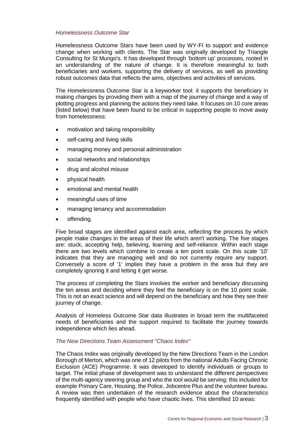## *Homelessness Outcome Star*

Homelessness Outcome Stars have been used by WY-FI to support and evidence change when working with clients. The Star was originally developed by Triangle Consulting for St Mungo's. It has developed through 'bottom up' processes, rooted in an understanding of the nature of change. It is therefore meaningful to both beneficiaries and workers, supporting the delivery of services, as well as providing robust outcomes data that reflects the aims, objectives and activities of services.

The Homelessness Outcome Star is a keyworker tool: it supports the beneficiary in making changes by providing them with a map of the journey of change and a way of plotting progress and planning the actions they need take. It focuses on 10 core areas (listed below) that have been found to be critical in supporting people to move away from homelessness:

- motivation and taking responsibility
- self-caring and living skills
- managing money and personal administration
- social networks and relationships
- drug and alcohol misuse
- physical health
- emotional and mental health
- meaningful uses of time
- managing tenancy and accommodation
- offending.

Five broad stages are identified against each area, reflecting the process by which people make changes in the areas of their life which aren't working. The five stages are: stuck, accepting help, believing, learning and self-reliance. Within each stage there are two levels which combine to create a ten point scale. On this scale '10' indicates that they are managing well and do not currently require any support. Conversely a score of '1' implies they have a problem in the area but they are completely ignoring it and letting it get worse.

The process of completing the Stars involves the worker and beneficiary discussing the ten areas and deciding where they feel the beneficiary is on the 10 point scale. This is not an exact science and will depend on the beneficiary and how they see their journey of change.

Analysis of Homeless Outcome Star data illustrates in broad term the multifaceted needs of beneficiaries and the support required to facilitate the journey towards independence which lies ahead.

## *The New Directions Team Assessment "Chaos Index"*

The Chaos Index was originally developed by the New Directions Team in the London Borough of Merton, which was one of 12 pilots from the national Adults Facing Chronic Exclusion (ACE) Programme. It was developed to identify individuals or groups to target. The initial phase of development was to understand the different perspectives of the multi-agency steering group and who the tool would be serving; this included for example Primary Care, Housing, the Police, Jobcentre Plus and the volunteer bureau. A review was then undertaken of the research evidence about the characteristics frequently identified with people who have chaotic lives. This identified 10 areas: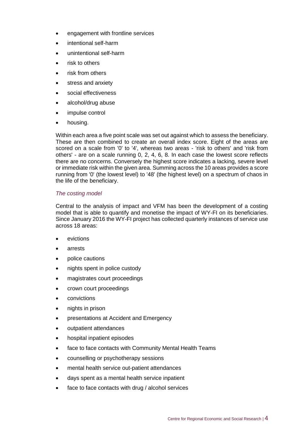- engagement with frontline services
- intentional self-harm
- unintentional self-harm
- risk to others
- risk from others
- stress and anxiety
- social effectiveness
- alcohol/drug abuse
- impulse control
- housing.

Within each area a five point scale was set out against which to assess the beneficiary. These are then combined to create an overall index score. Eight of the areas are scored on a scale from '0' to '4', whereas two areas - 'risk to others' and 'risk from others' - are on a scale running 0, 2, 4, 6, 8. In each case the lowest score reflects there are no concerns. Conversely the highest score indicates a lacking, severe level or immediate risk within the given area. Summing across the 10 areas provides a score running from '0' (the lowest level) to '48' (the highest level) on a spectrum of chaos in the life of the beneficiary.

## *The costing model*

Central to the analysis of impact and VFM has been the development of a costing model that is able to quantify and monetise the impact of WY-FI on its beneficiaries. Since January 2016 the WY-FI project has collected quarterly instances of service use across 18 areas:

- evictions
- arrests
- police cautions
- nights spent in police custody
- magistrates court proceedings
- crown court proceedings
- convictions
- nights in prison
- presentations at Accident and Emergency
- outpatient attendances
- hospital inpatient episodes
- face to face contacts with Community Mental Health Teams
- counselling or psychotherapy sessions
- mental health service out-patient attendances
- days spent as a mental health service inpatient
- face to face contacts with drug / alcohol services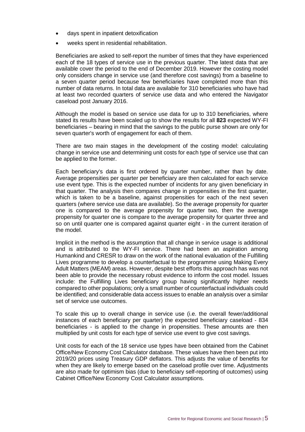- days spent in inpatient detoxification
- weeks spent in residential rehabilitation.

Beneficiaries are asked to self-report the number of times that they have experienced each of the 18 types of service use in the previous quarter. The latest data that are available cover the period to the end of December 2019. However the costing model only considers change in service use (and therefore cost savings) from a baseline to a seven quarter period because few beneficiaries have completed more than this number of data returns. In total data are available for 310 beneficiaries who have had at least two recorded quarters of service use data and who entered the Navigator caseload post January 2016.

Although the model is based on service use data for up to 310 beneficiaries, where stated its results have been scaled up to show the results for all **823** expected WY-FI beneficiaries – bearing in mind that the savings to the public purse shown are only for seven quarter's worth of engagement for each of them.

There are two main stages in the development of the costing model: calculating change in service use and determining unit costs for each type of service use that can be applied to the former.

Each beneficiary's data is first ordered by quarter number, rather than by date. Average propensities per quarter per beneficiary are then calculated for each service use event type. This is the expected number of incidents for any given beneficiary in that quarter. The analysis then compares change in propensities in the first quarter, which is taken to be a baseline, against propensities for each of the next seven quarters (where service use data are available). So the average propensity for quarter one is compared to the average propensity for quarter two, then the average propensity for quarter one is compare to the average propensity for quarter three and so on until quarter one is compared against quarter eight - in the current iteration of the model.

Implicit in the method is the assumption that all change in service usage is additional and is attributed to the WY-FI service. There had been an aspiration among Humankind and CRESR to draw on the work of the national evaluation of the Fulfilling Lives programme to develop a counterfactual to the programme using Making Every Adult Matters (MEAM) areas. However, despite best efforts this approach has was not been able to provide the necessary robust evidence to inform the cost model. Issues include: the Fulfilling Lives beneficiary group having significantly higher needs compared to other populations; only a small number of counterfactual individuals could be identified; and considerable data access issues to enable an analysis over a similar set of service use outcomes.

To scale this up to overall change in service use (i.e. the overall fewer/additional instances of each beneficiary per quarter) the expected beneficiary caseload - 834 beneficiaries - is applied to the change in propensities. These amounts are then multiplied by unit costs for each type of service use event to give cost savings.

Unit costs for each of the 18 service use types have been obtained from the Cabinet Office/New Economy Cost Calculator database. These values have then been put into 2019/20 prices using Treasury GDP deflators. This adjusts the value of benefits for when they are likely to emerge based on the caseload profile over time. Adjustments are also made for optimism bias (due to beneficiary self-reporting of outcomes) using Cabinet Office/New Economy Cost Calculator assumptions.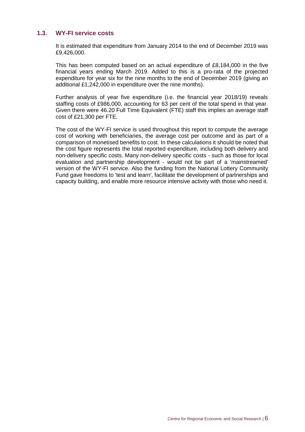## **1.3. WY-FI service costs**

It is estimated that expenditure from January 2014 to the end of December 2019 was £9,426,000.

This has been computed based on an actual expenditure of £8,184,000 in the five financial years ending March 2019. Added to this is a pro-rata of the projected expenditure for year six for the nine months to the end of December 2019 (giving an additional £1,242,000 in expenditure over the nine months).

Further analysis of year five expenditure (i.e. the financial year 2018/19) reveals staffing costs of £986,000, accounting for 63 per cent of the total spend in that year. Given there were 46.20 Full Time Equivalent (FTE) staff this implies an average staff cost of £21,300 per FTE.

The cost of the WY-FI service is used throughout this report to compute the average cost of working with beneficiaries, the average cost per outcome and as part of a comparison of monetised benefits to cost. In these calculations it should be noted that the cost figure represents the total reported expenditure, including both delivery and non-delivery specific costs. Many non-delivery specific costs - such as those for local evaluation and partnership development - would not be part of a 'mainstreamed' version of the WY-FI service. Also the funding from the National Lottery Community Fund gave freedoms to 'test and learn', facilitate the development of partnerships and capacity building, and enable more resource intensive activity with those who need it.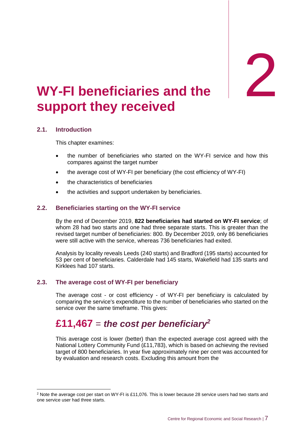# <span id="page-12-0"></span>2. **WY support they received PRIMILIATE SET OF STRANGE FRIM**<br>The set of the set of the set of the set of the set of the set of the set of the set of the set of the set of the set of the set of the set of the set of the set of the set of the set of th

## **2.1. Introduction**

-

This chapter examines:

- the number of beneficiaries who started on the WY-FI service and how this compares against the target number
- the average cost of WY-FI per beneficiary (the cost efficiency of WY-FI)
- the characteristics of beneficiaries
- the activities and support undertaken by beneficiaries.

## **2.2. Beneficiaries starting on the WY-FI service**

By the end of December 2019, **822 beneficiaries had started on WY-FI service**; of whom 28 had two starts and one had three separate starts. This is greater than the revised target number of beneficiaries: 800. By December 2019, only 86 beneficiaries were still active with the service, whereas 736 beneficiaries had exited.

Analysis by locality reveals Leeds (240 starts) and Bradford (195 starts) accounted for 53 per cent of beneficiaries. Calderdale had 145 starts, Wakefield had 135 starts and Kirklees had 107 starts.

## **2.3. The average cost of WY-FI per beneficiary**

The average cost - or cost efficiency - of WY-FI per beneficiary is calculated by comparing the service's expenditure to the number of beneficiaries who started on the service over the same timeframe. This gives:

## **£11,467** = *the cost per beneficiary<sup>2</sup>*

This average cost is lower (better) than the expected average cost agreed with the National Lottery Community Fund (£11,783), which is based on achieving the revised target of 800 beneficiaries. In year five approximately nine per cent was accounted for by evaluation and research costs. Excluding this amount from the

<sup>&</sup>lt;sup>2</sup> Note the average cost per start on WY-FI is £11,076. This is lower because 28 service users had two starts and one service user had three starts.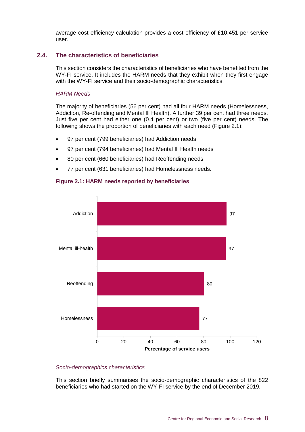average cost efficiency calculation provides a cost efficiency of £10,451 per service user.

## **2.4. The characteristics of beneficiaries**

This section considers the characteristics of beneficiaries who have benefited from the WY-FI service. It includes the HARM needs that they exhibit when they first engage with the WY-FI service and their socio-demographic characteristics.

#### *HARM Needs*

The majority of beneficiaries (56 per cent) had all four HARM needs (Homelessness, Addiction, Re-offending and Mental Ill Health). A further 39 per cent had three needs. Just five per cent had either one (0.4 per cent) or two (five per cent) needs. The following shows the proportion of beneficiaries with each need (Figure 2.1):

- 97 per cent (799 beneficiaries) had Addiction needs
- 97 per cent (794 beneficiaries) had Mental Ill Health needs
- 80 per cent (660 beneficiaries) had Reoffending needs
- 77 per cent (631 beneficiaries) had Homelessness needs.



## **Figure 2.1: HARM needs reported by beneficiaries**

## *Socio-demographics characteristics*

This section briefly summarises the socio-demographic characteristics of the 822 beneficiaries who had started on the WY-FI service by the end of December 2019.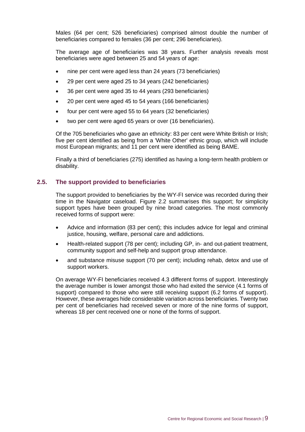Males (64 per cent; 526 beneficiaries) comprised almost double the number of beneficiaries compared to females (36 per cent; 296 beneficiaries).

The average age of beneficiaries was 38 years. Further analysis reveals most beneficiaries were aged between 25 and 54 years of age:

- nine per cent were aged less than 24 years (73 beneficiaries)
- 29 per cent were aged 25 to 34 years (242 beneficiaries)
- 36 per cent were aged 35 to 44 years (293 beneficiaries)
- 20 per cent were aged 45 to 54 years (166 beneficiaries)
- four per cent were aged 55 to 64 years (32 beneficiaries)
- two per cent were aged 65 years or over (16 beneficiaries).

Of the 705 beneficiaries who gave an ethnicity: 83 per cent were White British or Irish; five per cent identified as being from a 'White Other' ethnic group, which will include most European migrants; and 11 per cent were identified as being BAME.

Finally a third of beneficiaries (275) identified as having a long-term health problem or disability.

## **2.5. The support provided to beneficiaries**

The support provided to beneficiaries by the WY-FI service was recorded during their time in the Navigator caseload. Figure 2.2 summarises this support; for simplicity support types have been grouped by nine broad categories. The most commonly received forms of support were:

- Advice and information (83 per cent); this includes advice for legal and criminal justice, housing, welfare, personal care and addictions.
- Health-related support (78 per cent); including GP, in- and out-patient treatment, community support and self-help and support group attendance.
- and substance misuse support (70 per cent); including rehab, detox and use of support workers.

On average WY-FI beneficiaries received 4.3 different forms of support. Interestingly the average number is lower amongst those who had exited the service (4.1 forms of support) compared to those who were still receiving support (6.2 forms of support). However, these averages hide considerable variation across beneficiaries. Twenty two per cent of beneficiaries had received seven or more of the nine forms of support, whereas 18 per cent received one or none of the forms of support.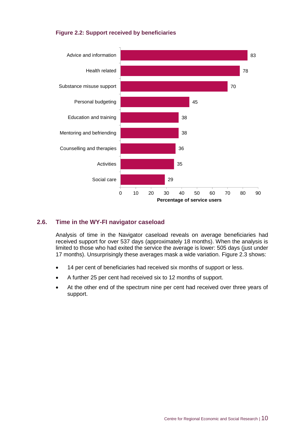## **Figure 2.2: Support received by beneficiaries**



## **2.6. Time in the WY-FI navigator caseload**

Analysis of time in the Navigator caseload reveals on average beneficiaries had received support for over 537 days (approximately 18 months). When the analysis is limited to those who had exited the service the average is lower: 505 days (just under 17 months). Unsurprisingly these averages mask a wide variation. Figure 2.3 shows:

- 14 per cent of beneficiaries had received six months of support or less.
- A further 25 per cent had received six to 12 months of support.
- At the other end of the spectrum nine per cent had received over three years of support.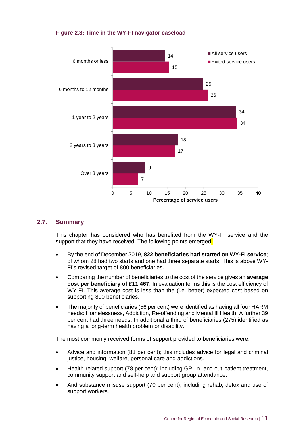## **Figure 2.3: Time in the WY-FI navigator caseload**



## **2.7. Summary**

This chapter has considered who has benefited from the WY-FI service and the support that they have received. The following points emerged:

- By the end of December 2019, **822 beneficiaries had started on WY-FI service**; of whom 28 had two starts and one had three separate starts. This is above WY-FI's revised target of 800 beneficiaries.
- Comparing the number of beneficiaries to the cost of the service gives an **average cost per beneficiary of £11,467**. In evaluation terms this is the cost efficiency of WY-FI. This average cost is less than the (i.e. better) expected cost based on supporting 800 beneficiaries.
- The majority of beneficiaries (56 per cent) were identified as having all four HARM needs: Homelessness, Addiction, Re-offending and Mental Ill Health. A further 39 per cent had three needs. In additional a third of beneficiaries (275) identified as having a long-term health problem or disability.

The most commonly received forms of support provided to beneficiaries were:

- Advice and information (83 per cent); this includes advice for legal and criminal justice, housing, welfare, personal care and addictions.
- Health-related support (78 per cent); including GP, in- and out-patient treatment, community support and self-help and support group attendance.
- And substance misuse support (70 per cent); including rehab, detox and use of support workers.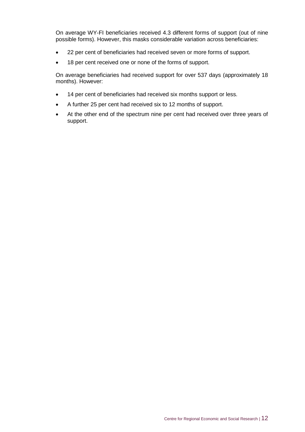On average WY-FI beneficiaries received 4.3 different forms of support (out of nine possible forms). However, this masks considerable variation across beneficiaries:

- 22 per cent of beneficiaries had received seven or more forms of support.
- 18 per cent received one or none of the forms of support.

On average beneficiaries had received support for over 537 days (approximately 18 months). However:

- 14 per cent of beneficiaries had received six months support or less.
- A further 25 per cent had received six to 12 months of support.
- At the other end of the spectrum nine per cent had received over three years of support.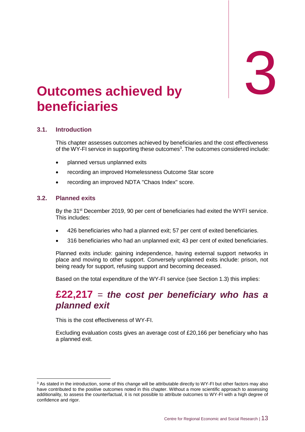3

# <span id="page-18-0"></span>3. **Outcomes achieved by beneficiaries**

## **3.1. Introduction**

This chapter assesses outcomes achieved by beneficiaries and the cost effectiveness of the WY-FI service in supporting these outcomes<sup>3</sup>. The outcomes considered include:

- planned versus unplanned exits
- recording an improved Homelessness Outcome Star score
- recording an improved NDTA "Chaos Index" score.

## **3.2. Planned exits**

-

By the 31<sup>st</sup> December 2019, 90 per cent of beneficiaries had exited the WYFI service. This includes:

- 426 beneficiaries who had a planned exit; 57 per cent of exited beneficiaries.
- 316 beneficiaries who had an unplanned exit; 43 per cent of exited beneficiaries.

Planned exits include: gaining independence, having external support networks in place and moving to other support. Conversely unplanned exits include: prison, not being ready for support, refusing support and becoming deceased.

Based on the total expenditure of the WY-FI service (see Section 1.3) this implies:

## **£22,217** = *the cost per beneficiary who has a planned exit*

This is the cost effectiveness of WY-FI.

Excluding evaluation costs gives an average cost of £20,166 per beneficiary who has a planned exit.

<sup>&</sup>lt;sup>3</sup> As stated in the introduction, some of this change will be attributable directly to WY-FI but other factors may also have contributed to the positive outcomes noted in this chapter. Without a more scientific approach to assessing additionality, to assess the counterfactual, it is not possible to attribute outcomes to WY-FI with a high degree of confidence and rigor.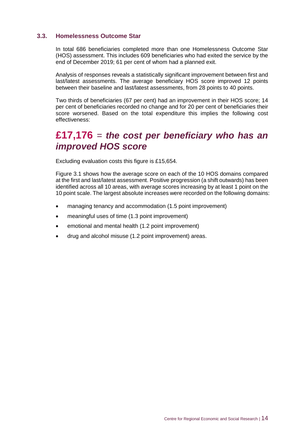## **3.3. Homelessness Outcome Star**

In total 686 beneficiaries completed more than one Homelessness Outcome Star (HOS) assessment. This includes 609 beneficiaries who had exited the service by the end of December 2019; 61 per cent of whom had a planned exit.

Analysis of responses reveals a statistically significant improvement between first and last/latest assessments. The average beneficiary HOS score improved 12 points between their baseline and last/latest assessments, from 28 points to 40 points.

Two thirds of beneficiaries (67 per cent) had an improvement in their HOS score; 14 per cent of beneficiaries recorded no change and for 20 per cent of beneficiaries their score worsened. Based on the total expenditure this implies the following cost effectiveness:

## **£17,176** = *the cost per beneficiary who has an improved HOS score*

Excluding evaluation costs this figure is £15,654.

Figure 3.1 shows how the average score on each of the 10 HOS domains compared at the first and last/latest assessment. Positive progression (a shift outwards) has been identified across all 10 areas, with average scores increasing by at least 1 point on the 10 point scale. The largest absolute increases were recorded on the following domains:

- managing tenancy and accommodation (1.5 point improvement)
- meaningful uses of time (1.3 point improvement)
- emotional and mental health (1.2 point improvement)
- drug and alcohol misuse (1.2 point improvement) areas.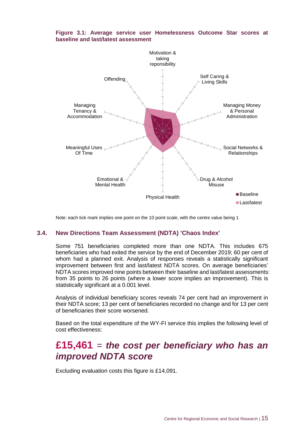

## **Figure 3.1: Average service user Homelessness Outcome Star scores at baseline and last/latest assessment**

Note: each tick mark implies one point on the 10 point scale, with the centre value being 1

## **3.4. New Directions Team Assessment (NDTA) 'Chaos Index'**

Some 751 beneficiaries completed more than one NDTA. This includes 675 beneficiaries who had exited the service by the end of December 2019; 60 per cent of whom had a planned exit. Analysis of responses reveals a statistically significant improvement between first and last/latest NDTA scores. On average beneficiaries' NDTA scores improved nine points between their baseline and last/latest assessments: from 35 points to 26 points (where a lower score implies an improvement). This is statistically significant at a 0.001 level.

Analysis of individual beneficiary scores reveals 74 per cent had an improvement in their NDTA score; 13 per cent of beneficiaries recorded no change and for 13 per cent of beneficiaries their score worsened.

Based on the total expenditure of the WY-FI service this implies the following level of cost effectiveness:

## **£15,461** = *the cost per beneficiary who has an improved NDTA score*

Excluding evaluation costs this figure is £14,091.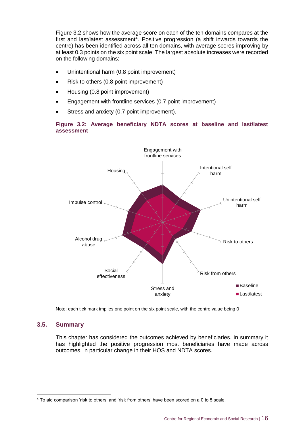Figure 3.2 shows how the average score on each of the ten domains compares at the first and last/latest assessment<sup>4</sup>. Positive progression (a shift inwards towards the centre) has been identified across all ten domains, with average scores improving by at least 0.3 points on the six point scale. The largest absolute increases were recorded on the following domains:

- Unintentional harm (0.8 point improvement)
- Risk to others (0.8 point improvement)
- Housing (0.8 point improvement)
- Engagement with frontline services (0.7 point improvement)
- Stress and anxiety (0.7 point improvement).

## **Figure 3.2: Average beneficiary NDTA scores at baseline and last/latest assessment**



Note: each tick mark implies one point on the six point scale, with the centre value being 0

## **3.5. Summary**

-

This chapter has considered the outcomes achieved by beneficiaries. In summary it has highlighted the positive progression most beneficiaries have made across outcomes, in particular change in their HOS and NDTA scores.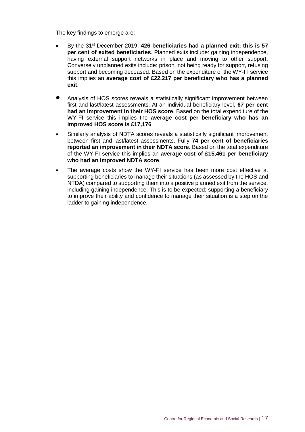The key findings to emerge are:

- By the 31st December 2019, **426 beneficiaries had a planned exit; this is 57 per cent of exited beneficiaries**. Planned exits include: gaining independence, having external support networks in place and moving to other support. Conversely unplanned exits include: prison, not being ready for support, refusing support and becoming deceased. Based on the expenditure of the WY-FI service this implies an **average cost of £22,217 per beneficiary who has a planned exit**.
- Analysis of HOS scores reveals a statistically significant improvement between first and last/latest assessments. At an individual beneficiary level, **67 per cent had an improvement in their HOS score**. Based on the total expenditure of the WY-FI service this implies the **average cost per beneficiary who has an improved HOS score is £17,176**.
- Similarly analysis of NDTA scores reveals a statistically significant improvement between first and last/latest assessments. Fully **74 per cent of beneficiaries reported an improvement in their NDTA score**. Based on the total expenditure of the WY-FI service this implies an **average cost of £15,461 per beneficiary who had an improved NDTA score**.
- The average costs show the WY-FI service has been more cost effective at supporting beneficiaries to manage their situations (as assessed by the HOS and NTDA) compared to supporting them into a positive planned exit from the service, including gaining independence. This is to be expected: supporting a beneficiary to improve their ability and confidence to manage their situation is a step on the ladder to gaining independence.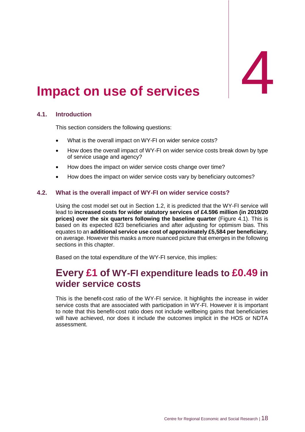# <span id="page-23-0"></span>**Impact on use of services**

## **4.1. Introduction**

This section considers the following questions:

- What is the overall impact on WY-FI on wider service costs?
- How does the overall impact of WY-FI on wider service costs break down by type of service usage and agency?
- How does the impact on wider service costs change over time?
- How does the impact on wider service costs vary by beneficiary outcomes?

## **4.2. What is the overall impact of WY-FI on wider service costs?**

Using the cost model set out in Section 1.2, it is predicted that the WY-FI service will lead to **increased costs for wider statutory services of £4.596 million (in 2019/20 prices) over the six quarters following the baseline quarter** (Figure 4.1). This is based on its expected 823 beneficiaries and after adjusting for optimism bias. This equates to an **additional service use cost of approximately £5,584 per beneficiary**, on average. However this masks a more nuanced picture that emerges in the following sections in this chapter.

Based on the total expenditure of the WY-FI service, this implies:

## **Every £1 of WY-FI expenditure leads to £0.49 in wider service costs**

This is the benefit-cost ratio of the WY-FI service. It highlights the increase in wider service costs that are associated with participation in WY-FI. However it is important to note that this benefit-cost ratio does not include wellbeing gains that beneficiaries will have achieved, nor does it include the outcomes implicit in the HOS or NDTA assessment.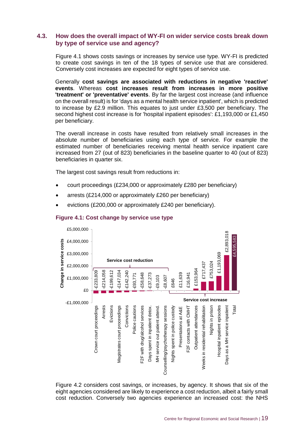## **4.3. How does the overall impact of WY-FI on wider service costs break down by type of service use and agency?**

Figure 4.1 shows costs savings or increases by service use type. WY-FI is predicted to create cost savings in ten of the 18 types of service use that are considered. Conversely cost increases are expected for eight types of service use.

Generally **cost savings are associated with reductions in negative 'reactive' events**. Whereas **cost increases result from increases in more positive 'treatment' or 'preventative' events**. By far the largest cost increase (and influence on the overall result) is for 'days as a mental health service inpatient', which is predicted to increase by £2.9 million. This equates to just under £3,500 per beneficiary. The second highest cost increase is for 'hospital inpatient episodes': £1,193,000 or £1,450 per beneficiary.

The overall increase in costs have resulted from relatively small increases in the absolute number of beneficiaries using each type of service. For example the estimated number of beneficiaries receiving mental health service inpatient care increased from 27 (out of 823) beneficiaries in the baseline quarter to 40 (out of 823) beneficiaries in quarter six.

The largest cost savings result from reductions in:

- court proceedings (£234,000 or approximately £280 per beneficiary)
- arrests (£214,000 or approximately £260 per beneficiary)
- evictions (£200,000 or approximately £240 per beneficiary).



## **Figure 4.1: Cost change by service use type**

Figure 4.2 considers cost savings, or increases, by agency. It shows that six of the eight agencies considered are likely to experience a cost reduction, albeit a fairly small cost reduction. Conversely two agencies experience an increased cost: the NHS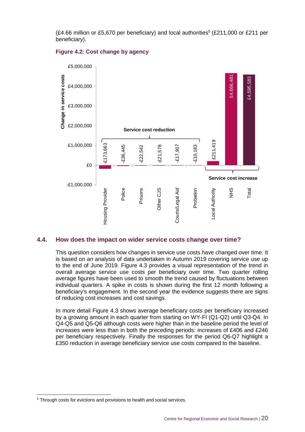$(£4.66$  million or £5,670 per beneficiary) and local authorities<sup>5</sup> (£211,000 or £211 per beneficiary).



## **Figure 4.2: Cost change by agency**

## **4.4. How does the impact on wider service costs change over time?**

This question considers how changes in service use costs have changed over time. It is based on an analysis of data undertaken in Autumn 2019 covering service use up to the end of June 2019. Figure 4.3 provides a visual representation of the trend in overall average service use costs per beneficiary over time. Two quarter rolling average figures have been used to smooth the trend caused by fluctuations between individual quarters. A spike in costs is shown during the first 12 month following a beneficiary's engagement. In the second year the evidence suggests there are signs of reducing cost increases and cost savings.

In more detail Figure 4.3 shows average beneficiary costs per beneficiary increased by a growing amount in each quarter from starting on WY-FI (Q1-Q2) until Q3-Q4. In Q4-Q5 and Q5-Q6 although costs were higher than in the baseline period the level of increases were less than in both the preceding periods: increases of £406 and £246 per beneficiary respectively. Finally the responses for the period Q6-Q7 highlight a £350 reduction in average beneficiary service use costs compared to the baseline.

-

<sup>&</sup>lt;sup>5</sup> Through costs for evictions and provisions to health and social services.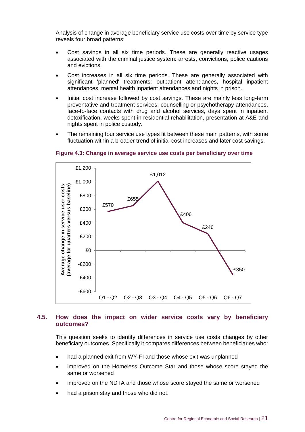Analysis of change in average beneficiary service use costs over time by service type reveals four broad patterns:

- Cost savings in all six time periods. These are generally reactive usages associated with the criminal justice system: arrests, convictions, police cautions and evictions.
- Cost increases in all six time periods. These are generally associated with significant 'planned' treatments: outpatient attendances, hospital inpatient attendances, mental health inpatient attendances and nights in prison.
- Initial cost increase followed by cost savings. These are mainly less long-term preventative and treatment services: counselling or psychotherapy attendances, face-to-face contacts with drug and alcohol services, days spent in inpatient detoxification, weeks spent in residential rehabilitation, presentation at A&E and nights spent in police custody.
- The remaining four service use types fit between these main patterns, with some fluctuation within a broader trend of initial cost increases and later cost savings.



#### **Figure 4.3: Change in average service use costs per beneficiary over time**

## **4.5. How does the impact on wider service costs vary by beneficiary outcomes?**

This question seeks to identify differences in service use costs changes by other beneficiary outcomes. Specifically it compares differences between beneficiaries who:

- had a planned exit from WY-FI and those whose exit was unplanned
- improved on the Homeless Outcome Star and those whose score stayed the same or worsened
- improved on the NDTA and those whose score stayed the same or worsened
- had a prison stay and those who did not.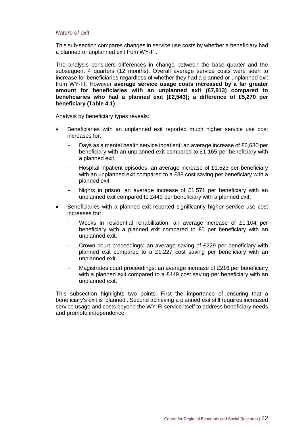## *Nature of exit*

This sub-section compares changes in service use costs by whether a beneficiary had a planned or unplanned exit from WY-FI.

The analysis considers differences in change between the base quarter and the subsequent 4 quarters (12 months). Overall average service costs were seen to increase for beneficiaries regardless of whether they had a planned or unplanned exit from WY-FI. However **average service usage costs increased by a far greater amount for beneficiaries with an unplanned exit (£7,813) compared to beneficiaries who had a planned exit (£2,543); a difference of £5,270 per beneficiary (Table 4.1)**.

Analysis by beneficiary types reveals:

- Beneficiaries with an unplanned exit reported much higher service use cost increases for:
	- Days as a mental health service inpatient: an average increase of £6,680 per beneficiary with an unplanned exit compared to £1,165 per beneficiary with a planned exit.
	- Hospital inpatient episodes: an average increase of £1,523 per beneficiary with an unplanned exit compared to a £88 cost saving per beneficiary with a planned exit.
	- Nights in prison: an average increase of £1,571 per beneficiary with an unplanned exit compared to £449 per beneficiary with a planned exit.
- Beneficiaries with a planned exit reported significantly higher service use cost increases for:
	- Weeks in residential rehabilitation: an average increase of £1,104 per beneficiary with a planned exit compared to £0 per beneficiary with an unplanned exit.
	- Crown court proceedings: an average saving of £229 per beneficiary with planned exit compared to a £1,227 cost saving per beneficiary with an unplanned exit.
	- Magistrates court proceedings: an average increase of £216 per beneficiary with a planned exit compared to a £449 cost saving per beneficiary with an unplanned exit.

This subsection highlights two points. First the importance of ensuring that a beneficiary's exit is 'planned'. Second achieving a planned exit still requires increased service usage and costs beyond the WY-FI service itself to address beneficiary needs and promote independence.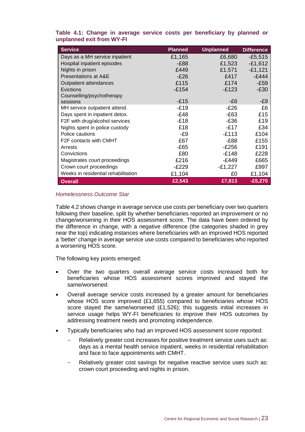| <b>Service</b>                      | <b>Planned</b> | <b>Unplanned</b> | <b>Difference</b> |
|-------------------------------------|----------------|------------------|-------------------|
| Days as a MH service inpatient      | £1,165         | £6,680           | $-£5,515$         |
| Hospital inpatient episodes         | $-E88$         | £1,523           | $-£1,612$         |
| Nights in prison                    | £449           | £1,571           | $-£1,121$         |
| <b>Presentations at A&amp;E</b>     | $-E26$         | £417             | $-£444$           |
| Outpatient attendances              | £115           | £174             | $-E59$            |
| Evictions                           | $-£154$        | $-E123$          | $-E30$            |
| Counselling/psychotherapy           |                |                  |                   |
| sessions                            | $-E15$         | -£6              | -£9               |
| MH service outpatient attend.       | $-E19$         | $-E26$           | £6                |
| Days spent in inpatient detox.      | -£48           | $-E63$           | £15               |
| F2F with drug/alcohol services      | $-E18$         | -£36             | £19               |
| Nights spent in police custody      | £18            | -£17             | £34               |
| Police cautions                     | -£9            | $-E113$          | £104              |
| F <sub>2</sub> F contacts with CMHT | £67            | -£88             | £155              |
| Arrests                             | $-E65$         | $-E256$          | £191              |
| Convictions                         | £80            | $-E148$          | £228              |
| Magistrates court proceedings       | £216           | $-E449$          | £665              |
| Crown court proceedings             | -£229          | $-E1,227$        | £997              |
| Weeks in residential rehabilitation | £1,104         | £0               | £1,104            |
| <b>Overall</b>                      | £2,543         | £7,813           | $-£5,270$         |

**Table 4.1: Change in average service costs per beneficiary by planned or unplanned exit from WY-FI**

## *Homelessness Outcome Star*

Table 4.2 shows change in average service use costs per beneficiary over two quarters following their baseline, split by whether beneficiaries reported an improvement or no change/worsening in their HOS assessment score. The data have been ordered by the difference in change, with a negative difference (the categories shaded in grey near the top) indicating instances where beneficiaries with an improved HOS reported a 'better' change in average service use costs compared to beneficiaries who reported a worsening HOS score.

The following key points emerged:

- Over the two quarters overall average service costs increased both for beneficiaries whose HOS assessment scores improved and stayed the same/worsened.
- Overall average service costs increased by a greater amount for beneficiaries whose HOS score improved (£1,655) compared to beneficiaries whose HOS score stayed the same/worsened (£1,526); this suggests initial increases in service usage helps WY-FI beneficiaries to improve their HOS outcomes by addressing treatment needs and promoting independence.
- Typically beneficiaries who had an improved HOS assessment score reported:
	- Relatively greater cost increases for positive treatment service uses such as: days as a mental health service inpatient, weeks in residential rehabilitation and face to face appointments with CMHT.
	- Relatively greater cost savings for negative reactive service uses such as: crown court proceeding and nights in prison.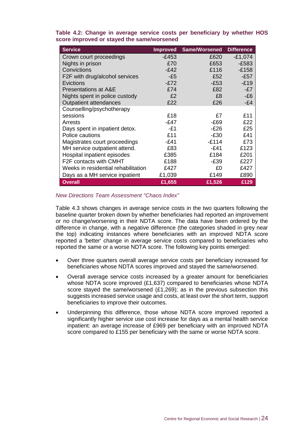| <b>Service</b>                      | <b>Improved</b> | <b>Same/Worsened</b> | <b>Difference</b> |
|-------------------------------------|-----------------|----------------------|-------------------|
| Crown court proceedings             | $-E453$         | £620                 | $-£1,074$         |
| Nights in prison                    | £70             | £653                 | $-£583$           |
| Convictions                         | $-E42$          | £116                 | $-£158$           |
| F2F with drug/alcohol services      | -£5             | £52                  | $-E57$            |
| Evictions                           | $-E72$          | $-E53$               | $-E19$            |
| <b>Presentations at A&amp;E</b>     | £74             | £82                  | $-E7$             |
| Nights spent in police custody      | £2              | £8                   | $-E6$             |
| <b>Outpatient attendances</b>       | £22             | £26                  | -£4               |
| Counselling/psychotherapy           |                 |                      |                   |
| sessions                            | £18             | £7                   | £11               |
| Arrests                             | -£47            | -£69                 | £22               |
| Days spent in inpatient detox.      | -£1             | -£26                 | £25               |
| Police cautions                     | £11             | -£30                 | £41               |
| Magistrates court proceedings       | $-E41$          | $-E114$              | £73               |
| MH service outpatient attend.       | £83             | -£41                 | £123              |
| Hospital inpatient episodes         | £385            | £184                 | £201              |
| F2F contacts with CMHT              | £188            | $-E39$               | £227              |
| Weeks in residential rehabilitation | £427            | £0                   | £427              |
| Days as a MH service inpatient      | £1,039          | £149                 | £890              |
| <b>Overall</b>                      | £1,655          | £1,526               | £129              |

**Table 4.2: Change in average service costs per beneficiary by whether HOS score improved or stayed the same/worsened**

## *New Directions Team Assessment "Chaos Index"*

Table 4.3 shows changes in average service costs in the two quarters following the baseline quarter broken down by whether beneficiaries had reported an improvement or no change/worsening in their NDTA score. The data have been ordered by the difference in change, with a negative difference (the categories shaded in grey near the top) indicating instances where beneficiaries with an improved NDTA score reported a 'better' change in average service costs compared to beneficiaries who reported the same or a worse NDTA score. The following key points emerged:

- Over three quarters overall average service costs per beneficiary increased for beneficiaries whose NDTA scores improved and stayed the same/worsened.
- Overall average service costs increased by a greater amount for beneficiaries whose NDTA score improved (£1,637) compared to beneficiaries whose NDTA score stayed the same/worsened (£1,269); as in the previous subsection this suggests increased service usage and costs, at least over the short term, support beneficiaries to improve their outcomes.
- Underpinning this difference, those whose NDTA score improved reported a significantly higher service use cost increase for days as a mental health service inpatient: an average increase of £969 per beneficiary with an improved NDTA score compared to £155 per beneficiary with the same or worse NDTA score.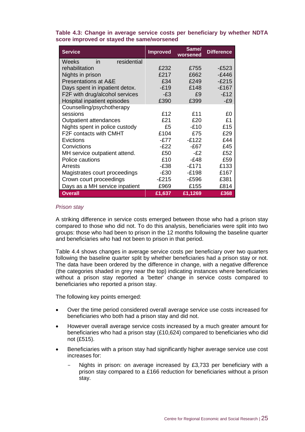| <b>Service</b>                  | <b>Improved</b> | Same/<br>worsened | <b>Difference</b> |
|---------------------------------|-----------------|-------------------|-------------------|
| residential<br>Weeks<br>in      |                 |                   |                   |
| rehabilitation                  | £232            | £755              | -£523             |
| Nights in prison                | £217            | £662              | -£446             |
| <b>Presentations at A&amp;E</b> | £34             | £249              | $-E215$           |
| Days spent in inpatient detox.  | $-E19$          | £148              | $-E167$           |
| F2F with drug/alcohol services  | -£3             | £9                | $-E12$            |
| Hospital inpatient episodes     | £390            | £399              | -£9               |
| Counselling/psychotherapy       |                 |                   |                   |
| sessions                        | £12             | £11               | £0                |
| Outpatient attendances          | £21             | £20               | £1                |
| Nights spent in police custody  | £5              | $-£10$            | £15               |
| F2F contacts with CMHT          | £104            | £75               | £29               |
| Evictions                       | -£77            | $-E122$           | £44               |
| Convictions                     | -£22            | $-E67$            | £45               |
| MH service outpatient attend.   | £50             | $-F2$             | £52               |
| Police cautions                 | £10             | $-E48$            | £59               |
| Arrests                         | $-E38$          | -£171             | £133              |
| Magistrates court proceedings   | -£30            | $-E198$           | £167              |
| Crown court proceedings         | -£215           | -£596             | £381              |
| Days as a MH service inpatient  | £969            | £155              | £814              |
| <b>Overall</b>                  | £1,637          | £1,1269           | £368              |

**Table 4.3: Change in average service costs per beneficiary by whether NDTA score improved or stayed the same/worsened**

#### *Prison stay*

A striking difference in service costs emerged between those who had a prison stay compared to those who did not. To do this analysis, beneficiaries were split into two groups: those who had been to prison in the 12 months following the baseline quarter and beneficiaries who had not been to prison in that period.

Table 4.4 shows changes in average service costs per beneficiary over two quarters following the baseline quarter split by whether beneficiaries had a prison stay or not. The data have been ordered by the difference in change, with a negative difference (the categories shaded in grey near the top) indicating instances where beneficiaries without a prison stay reported a 'better' change in service costs compared to beneficiaries who reported a prison stay.

The following key points emerged:

- Over the time period considered overall average service use costs increased for beneficiaries who both had a prison stay and did not.
- However overall average service costs increased by a much greater amount for beneficiaries who had a prison stay (£10,624) compared to beneficiaries who did not (£515).
- Beneficiaries with a prison stay had significantly higher average service use cost increases for:
	- Nights in prison: on average increased by £3,733 per beneficiary with a prison stay compared to a £166 reduction for beneficiaries without a prison stay.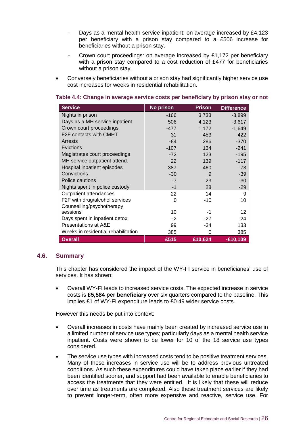- Days as a mental health service inpatient: on average increased by £4,123 per beneficiary with a prison stay compared to a £506 increase for beneficiaries without a prison stay.
- Crown court proceedings: on average increased by £1,172 per beneficiary with a prison stay compared to a cost reduction of £477 for beneficiaries without a prison stay.
- Conversely beneficiaries without a prison stay had significantly higher service use cost increases for weeks in residential rehabilitation.

| <b>Service</b>                      | <b>No prison</b> | <b>Prison</b> | <b>Difference</b> |
|-------------------------------------|------------------|---------------|-------------------|
| Nights in prison                    | $-166$           | 3,733         | $-3,899$          |
| Days as a MH service inpatient      | 506              | 4,123         | $-3,617$          |
| Crown court proceedings             | -477             | 1,172         | $-1,649$          |
| F2F contacts with CMHT              | 31               | 453           | $-422$            |
| Arrests                             | $-84$            | 286           | $-370$            |
| Evictions                           | $-107$           | 134           | $-241$            |
| Magistrates court proceedings       | $-72$            | 123           | $-195$            |
| MH service outpatient attend.       | 22               | 139           | $-117$            |
| Hospital inpatient episodes         | 387              | 460           | $-73$             |
| Convictions                         | $-30$            | 9             | $-39$             |
| Police cautions                     | $-7$             | 23            | $-30$             |
| Nights spent in police custody      | $-1$             | 28            | $-29$             |
| Outpatient attendances              | 22               | 14            | 9                 |
| F2F with drug/alcohol services      | 0                | -10           | 10                |
| Counselling/psychotherapy           |                  |               |                   |
| sessions                            | 10               | -1            | 12                |
| Days spent in inpatient detox.      | $-2$             | $-27$         | 24                |
| Presentations at A&E                | 99               | -34           | 133               |
| Weeks in residential rehabilitation | 385              | 0             | 385               |
| <b>Overall</b>                      | £515             | £10,624       | $-£10,109$        |

## **Table 4.4: Change in average service costs per beneficiary by prison stay or not**

## **4.6. Summary**

This chapter has considered the impact of the WY-FI service in beneficiaries' use of services. It has shown:

 Overall WY-FI leads to increased service costs. The expected increase in service costs is **£5,584 per beneficiary** over six quarters compared to the baseline. This implies £1 of WY-FI expenditure leads to £0.49 wider service costs.

However this needs be put into context:

- Overall increases in costs have mainly been created by increased service use in a limited number of service use types; particularly days as a mental health service inpatient. Costs were shown to be lower for 10 of the 18 service use types considered.
- The service use types with increased costs tend to be positive treatment services. Many of these increases in service use will be to address previous untreated conditions. As such these expenditures could have taken place earlier if they had been identified sooner, and support had been available to enable beneficiaries to access the treatments that they were entitled. It is likely that these will reduce over time as treatments are completed. Also these treatment services are likely to prevent longer-term, often more expensive and reactive, service use. For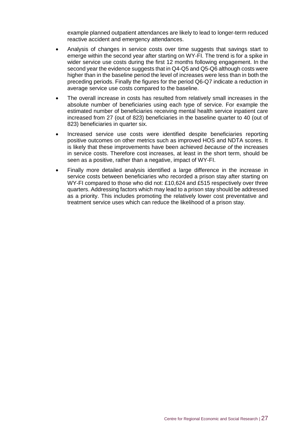example planned outpatient attendances are likely to lead to longer-term reduced reactive accident and emergency attendances.

- Analysis of changes in service costs over time suggests that savings start to emerge within the second year after starting on WY-FI. The trend is for a spike in wider service use costs during the first 12 months following engagement. In the second year the evidence suggests that in Q4-Q5 and Q5-Q6 although costs were higher than in the baseline period the level of increases were less than in both the preceding periods. Finally the figures for the period Q6-Q7 indicate a reduction in average service use costs compared to the baseline.
- The overall increase in costs has resulted from relatively small increases in the absolute number of beneficiaries using each type of service. For example the estimated number of beneficiaries receiving mental health service inpatient care increased from 27 (out of 823) beneficiaries in the baseline quarter to 40 (out of 823) beneficiaries in quarter six.
- Increased service use costs were identified despite beneficiaries reporting positive outcomes on other metrics such as improved HOS and NDTA scores. It is likely that these improvements have been achieved *because of* the increases in service costs. Therefore cost increases, at least in the short term, should be seen as a positive, rather than a negative, impact of WY-FI.
- Finally more detailed analysis identified a large difference in the increase in service costs between beneficiaries who recorded a prison stay after starting on WY-FI compared to those who did not: £10,624 and £515 respectively over three quarters. Addressing factors which may lead to a prison stay should be addressed as a priority. This includes promoting the relatively lower cost preventative and treatment service uses which can reduce the likelihood of a prison stay.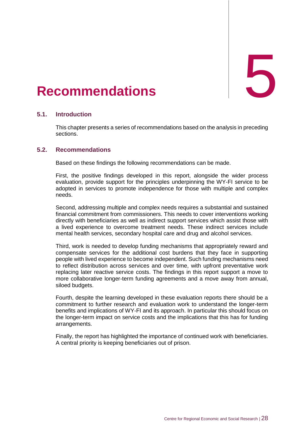# <span id="page-33-0"></span>Recommendations

## **5.1. Introduction**

This chapter presents a series of recommendations based on the analysis in preceding sections.

## **5.2. Recommendations**

Based on these findings the following recommendations can be made.

First, the positive findings developed in this report, alongside the wider process evaluation, provide support for the principles underpinning the WY-FI service to be adopted in services to promote independence for those with multiple and complex needs.

Second, addressing multiple and complex needs requires a substantial and sustained financial commitment from commissioners. This needs to cover interventions working directly with beneficiaries as well as indirect support services which assist those with a lived experience to overcome treatment needs. These indirect services include mental health services, secondary hospital care and drug and alcohol services.

Third, work is needed to develop funding mechanisms that appropriately reward and compensate services for the additional cost burdens that they face in supporting people with lived experience to become independent. Such funding mechanisms need to reflect distribution across services and over time, with upfront preventative work replacing later reactive service costs. The findings in this report support a move to more collaborative longer-term funding agreements and a move away from annual, siloed budgets.

Fourth, despite the learning developed in these evaluation reports there should be a commitment to further research and evaluation work to understand the longer-term benefits and implications of WY-FI and its approach. In particular this should focus on the longer-term impact on service costs and the implications that this has for funding arrangements.

Finally, the report has highlighted the importance of continued work with beneficiaries. A central priority is keeping beneficiaries out of prison.